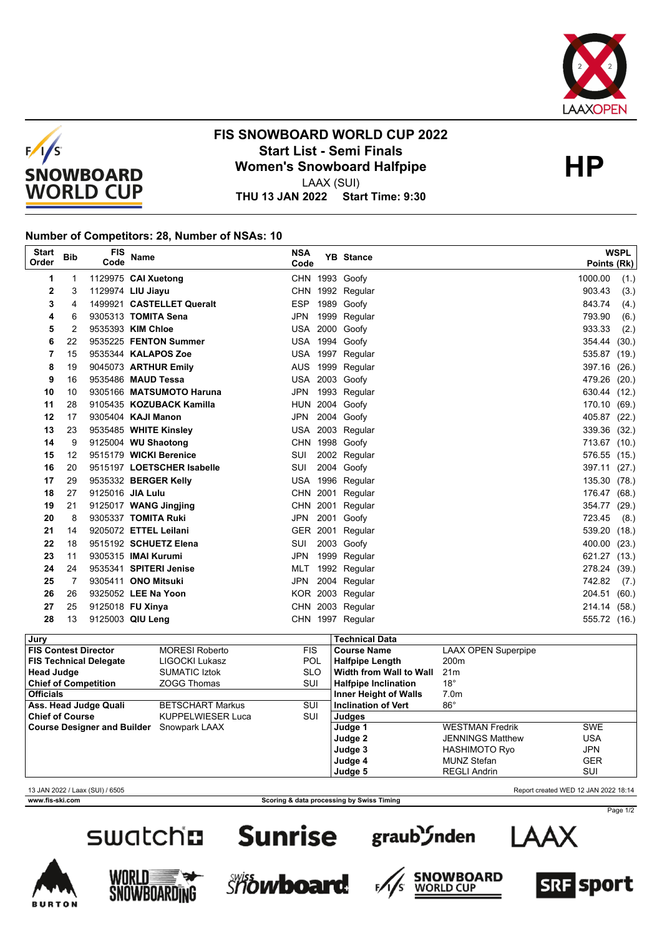



## **FIS SNOWBOARD WORLD CUP 2022 Start List - Semi Finals HP Women's Snowboard Halfpipe** LAAX (SUI)

**THU 13 JAN 2022 Start Time: 9:30**

## **Number of Competitors: 28, Number of NSAs: 10**

| <b>Start</b><br>Order | <b>Bib</b> | <b>FIS</b><br>Code | <b>Name</b>                | <b>NSA</b><br>Code | <b>YB</b> Stance | <b>WSPL</b><br>Points (Rk) |
|-----------------------|------------|--------------------|----------------------------|--------------------|------------------|----------------------------|
| 1                     |            |                    | 1129975 CAI Xuetong        |                    | CHN 1993 Goofy   | 1000.00<br>(1.)            |
| 2                     | 3          |                    | 1129974 LIU Jiayu          |                    | CHN 1992 Regular | 903.43<br>(3.)             |
| 3                     | 4          |                    | 1499921 CASTELLET Queralt  | <b>ESP</b>         | 1989 Goofy       | 843.74<br>(4.)             |
| 4                     | 6          |                    | 9305313 TOMITA Sena        | <b>JPN</b>         | 1999 Regular     | 793.90<br>(6.)             |
| 5                     | 2          |                    | 9535393 KIM Chloe          | USA                | 2000 Goofy       | 933.33<br>(2.)             |
| 6                     | 22         |                    | 9535225 FENTON Summer      |                    | USA 1994 Goofy   | 354.44<br>(30.)            |
| 7                     | 15         |                    | 9535344 KALAPOS Zoe        |                    | USA 1997 Regular | 535.87<br>(19.)            |
| 8                     | 19         |                    | 9045073 ARTHUR Emily       |                    | AUS 1999 Regular | 397.16<br>(26.)            |
| 9                     | 16         |                    | 9535486 MAUD Tessa         |                    | USA 2003 Goofy   | 479.26<br>(20.)            |
| 10                    | 10         |                    | 9305166 MATSUMOTO Haruna   |                    | JPN 1993 Regular | 630.44 (12.)               |
| 11                    | 28         |                    | 9105435 KOZUBACK Kamilla   |                    | HUN 2004 Goofy   | 170.10 (69.)               |
| 12                    | 17         |                    | 9305404 KAJI Manon         | JPN                | 2004 Goofy       | 405.87 (22.)               |
| 13                    | 23         |                    | 9535485 WHITE Kinsley      |                    | USA 2003 Regular | 339.36 (32.)               |
| 14                    | 9          |                    | 9125004 WU Shaotong        |                    | CHN 1998 Goofy   | 713.67 (10.)               |
| 15                    | 12         |                    | 9515179 WICKI Berenice     | SUI                | 2002 Regular     | 576.55 (15.)               |
| 16                    | 20         |                    | 9515197 LOETSCHER Isabelle | SUI                | 2004 Goofy       | 397.11 (27.)               |
| 17                    | 29         |                    | 9535332 BERGER Kelly       |                    | USA 1996 Regular | 135.30 (78.)               |
| 18                    | 27         |                    | 9125016 JIA Lulu           |                    | CHN 2001 Regular | 176.47 (68.)               |
| 19                    | 21         |                    | 9125017 WANG Jingjing      |                    | CHN 2001 Regular | 354.77 (29.)               |
| 20                    | 8          |                    | 9305337 TOMITA Ruki        | JPN                | 2001 Goofy       | 723.45 (8.)                |
| 21                    | 14         |                    | 9205072 ETTEL Leilani      |                    | GER 2001 Regular | 539.20 (18.)               |
| 22                    | 18         |                    | 9515192 SCHUETZ Elena      | SUI                | 2003 Goofy       | 400.00 (23.)               |
| 23                    | 11         |                    | 9305315 <b>IMAI Kurumi</b> | <b>JPN</b>         | 1999 Regular     | 621.27 (13.)               |
| 24                    | 24         |                    | 9535341 SPITERI Jenise     | MLT                | 1992 Regular     | 278.24 (39.)               |
| 25                    | 7          |                    | 9305411 ONO Mitsuki        | <b>JPN</b>         | 2004 Regular     | 742.82<br>(7.)             |
| 26                    | 26         |                    | 9325052 LEE Na Yoon        |                    | KOR 2003 Regular | 204.51 (60.)               |
| 27                    | 25         |                    | 9125018 FU Xinya           |                    | CHN 2003 Regular | 214.14 (58.)               |
| 28                    | 13         |                    | 9125003 QIU Leng           |                    | CHN 1997 Regular | 555.72 (16.)               |

| Jury                               |                          |            | <b>Technical Data</b>          |                            |            |  |
|------------------------------------|--------------------------|------------|--------------------------------|----------------------------|------------|--|
| <b>FIS Contest Director</b>        | <b>MORESI Roberto</b>    | <b>FIS</b> | <b>Course Name</b>             | <b>LAAX OPEN Superpipe</b> |            |  |
| <b>FIS Technical Delegate</b>      | LIGOCKI Lukasz           | <b>POL</b> | <b>Halfpipe Length</b>         | 200 <sub>m</sub>           |            |  |
| <b>Head Judge</b>                  | <b>SUMATIC Iztok</b>     | <b>SLO</b> | <b>Width from Wall to Wall</b> | 21 <sub>m</sub>            |            |  |
| <b>Chief of Competition</b>        | <b>ZOGG Thomas</b>       | SUI        | <b>Halfpipe Inclination</b>    | $18^{\circ}$               |            |  |
| <b>Officials</b>                   |                          |            | <b>Inner Height of Walls</b>   | 7.0 <sub>m</sub>           |            |  |
| Ass. Head Judge Quali              | <b>BETSCHART Markus</b>  | SUI        | Inclination of Vert            | $86^{\circ}$               |            |  |
| <b>Chief of Course</b>             | <b>KUPPELWIESER Luca</b> | SUI        | Judges                         |                            |            |  |
| <b>Course Designer and Builder</b> | Snowpark LAAX            |            | Judge 1                        | <b>WESTMAN Fredrik</b>     | <b>SWE</b> |  |
|                                    |                          |            | Judge 2                        | <b>JENNINGS Matthew</b>    | USA        |  |
|                                    |                          |            | Judge 3                        | HASHIMOTO Ryo              | <b>JPN</b> |  |
|                                    |                          |            | Judge 4                        | <b>MUNZ Stefan</b>         | <b>GER</b> |  |
|                                    |                          |            | Judge 5                        | <b>REGLI Andrin</b>        | SUI        |  |

13 JAN 2022 / Laax (SUI) / 6505 Report created WED 12 JAN 2022 18:14

**www.fis-ski.com Scoring & data processing by Swiss Timing**







F,













Page 1/2